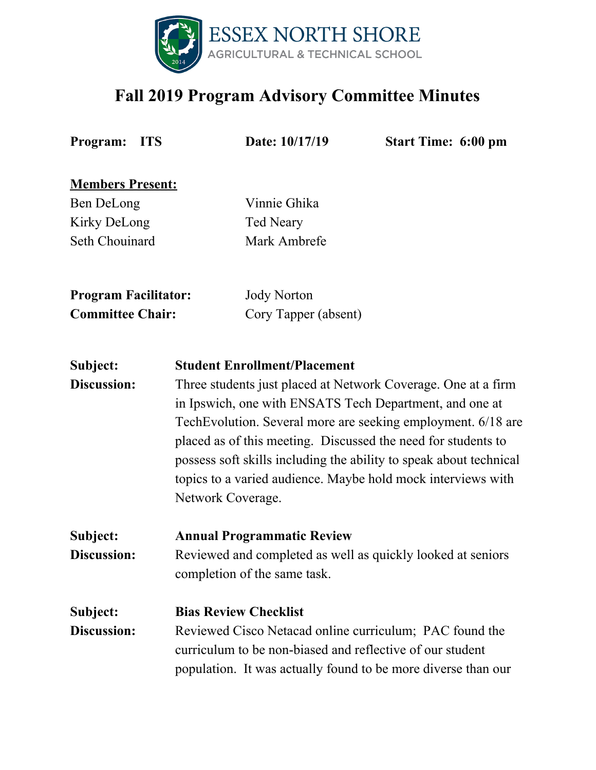

## **Fall 2019 Program Advisory Committee Minutes**

**Program: ITS Date: 10/17/19 Start Time: 6:00 pm**

**Members Present:**

Ben DeLong Vinnie Ghika Kirky DeLong Ted Neary Seth Chouinard Mark Ambrefe

**Program Facilitator:** Jody Norton

**Committee Chair:** Cory Tapper (absent)

### **Subject: Student Enrollment/Placement**

**Discussion:** Three students just placed at Network Coverage. One at a firm in Ipswich, one with ENSATS Tech Department, and one at TechEvolution. Several more are seeking employment. 6/18 are placed as of this meeting. Discussed the need for students to possess soft skills including the ability to speak about technical topics to a varied audience. Maybe hold mock interviews with Network Coverage.

**Subject: Annual Programmatic Review Discussion:** Reviewed and completed as well as quickly looked at seniors completion of the same task.

## **Subject: Bias Review Checklist**

**Discussion:** Reviewed Cisco Netacad online curriculum; PAC found the curriculum to be non-biased and reflective of our student population. It was actually found to be more diverse than our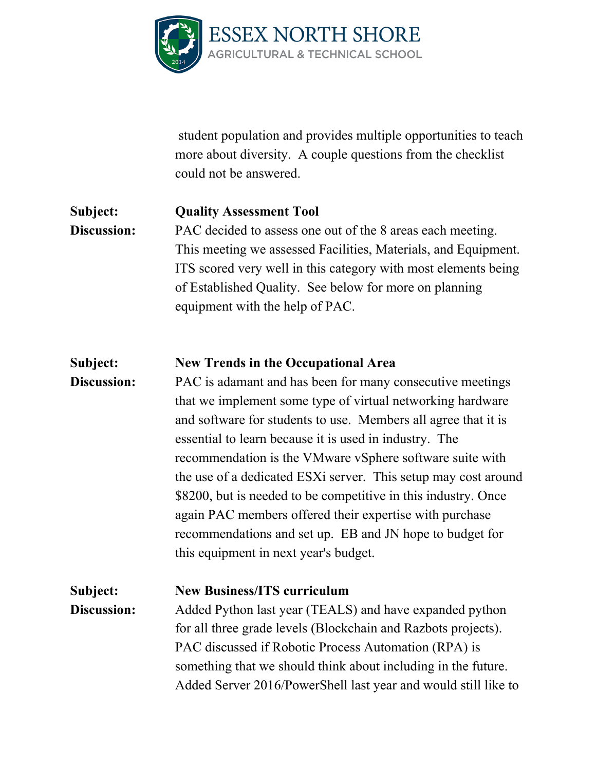

student population and provides multiple opportunities to teach more about diversity. A couple questions from the checklist could not be answered.

#### **Subject: Quality Assessment Tool**

**Discussion:** PAC decided to assess one out of the 8 areas each meeting. This meeting we assessed Facilities, Materials, and Equipment. ITS scored very well in this category with most elements being of Established Quality. See below for more on planning equipment with the help of PAC.

#### **Subject: New Trends in the Occupational Area**

**Discussion:** PAC is adamant and has been for many consecutive meetings that we implement some type of virtual networking hardware and software for students to use. Members all agree that it is essential to learn because it is used in industry. The recommendation is the VMware vSphere software suite with the use of a dedicated ESXi server. This setup may cost around \$8200, but is needed to be competitive in this industry. Once again PAC members offered their expertise with purchase recommendations and set up. EB and JN hope to budget for this equipment in next year's budget.

# **Subject: New Business/ITS curriculum**

**Discussion:** Added Python last year (TEALS) and have expanded python for all three grade levels (Blockchain and Razbots projects). PAC discussed if Robotic Process Automation (RPA) is something that we should think about including in the future. Added Server 2016/PowerShell last year and would still like to